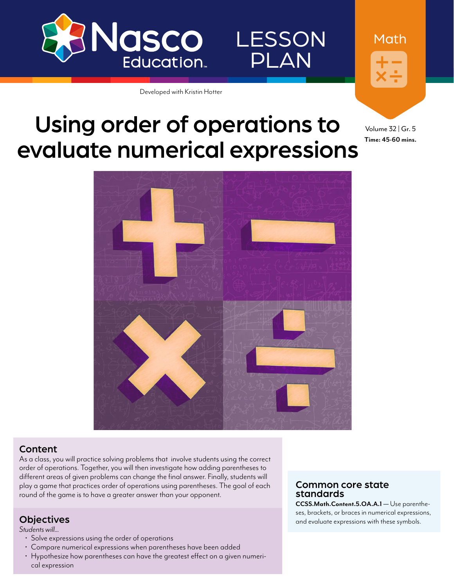

LESSON PLAN

Developed with Kristin Hotter

# Using order of operations to evaluate numerical expressions

Volume 32 | Gr. 5 **Time: 45-60 mins.**

Math



## Content

As a class, you will practice solving problems that involve students using the correct order of operations. Together, you will then investigate how adding parentheses to different areas of given problems can change the final answer. Finally, students will play a game that practices order of operations using parentheses. The goal of each round of the game is to have a greater answer than your opponent.

*Students will...*

- 
- 
- Solve expressions using the order of operations Compare numerical expressions when parentheses have been added Hypothesize how parentheses can have the greatest effect on a given numerical expression

## Common core state standards

**CCSS.Math.Content.5.OA.A.1** — Use parentheses, brackets, or braces in numerical expressions, and **in the contract of the contract of the contract of the contract of the contract of the contract of the contract of the contract of the contract of the contract of the**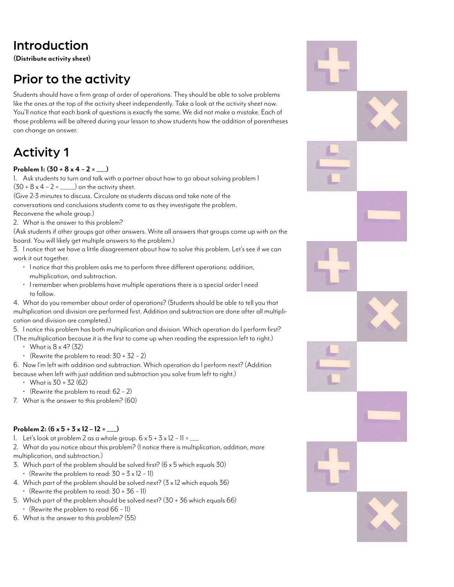# Introduction

**(Distribute activity sheet)**

# Prior to the activity

Students should have a firm grasp of order of operations. They should be able to solve problems like the ones at the top of the activity sheet independently. Take a look at the activity sheet now. You'll notice that each bank of questions is exactly the same. We did not make a mistake. Each of those problems will be altered during your lesson to show students how the addition of parentheses can change an answer.

# Activity 1

## **Problem 1: (30 + 8 x 4 − 2 = \_\_\_)**

1. Ask students to turn and talk with a partner about how to go about solving problem 1  $(30 + 8 \times 4 - 2 =$  \_\_\_\_\_) on the activity sheet.

(Give 2-3 minutes to discuss. Circulate as students discuss and take note of the conversations and conclusions students come to as they investigate the problem. Reconvene the whole group.)

2. What is the answer to this problem?

(Ask students if other groups got other answers. Write all answers that groups come up with on the board. You will likely get multiple answers to the problem.)

3. I notice that we have a little disagreement about how to solve this problem. Let's see if we can work it out together.

- I notice that this problem asks me to perform three different operations: addition, multiplication, and subtraction.
- I remember when problems have multiple operations there is a special order I need to follow.
- 4. What do you remember about order of operations? (Students should be able to tell you that multiplication and division are performed first. Addition and subtraction are done after all multiplication and division are completed.)

5. I notice this problem has both multiplication and division. Which operation do I perform first? (The multiplication because it is the first to come up when reading the expression left to right.)

- What is  $8 \times 4$ ? (32)
- (Rewrite the problem to read: 30 + 32 − 2)

6. Now I'm left with addition and subtraction. Which operation do I perform next? (Addition because when left with just addition and subtraction you solve from left to right.)

- What is  $30 + 32(62)$
- (Rewrite the problem to read: 62 − 2)
- 7. What is the answer to this problem? (60)

## **Problem 2: (6 x 5 + 3 x 12 – 12 = \_\_\_)**

1. Let's look at problem 2 as a whole group. 6 x 5 + 3 x 12 − 11 = \_\_\_

2. What do you notice about this problem? (I notice there is multiplication, addition, more multiplication, and subtraction.)

3. Which part of the problem should be solved first? ( $6 \times 5$  which equals 30)

- (Rewrite the problem to read: 30 + 3 x 12 − 11)
- 4. Which part of the problem should be solved next? (3 x 12 which equals 36)
	- (Rewrite the problem to read: 30 + 36 − 11)

5. Which part of the problem should be solved next? (30 + 36 which equals 66)

• (Rewrite the problem to read 66 − 11) 6. What is the answer to this problem? (55)

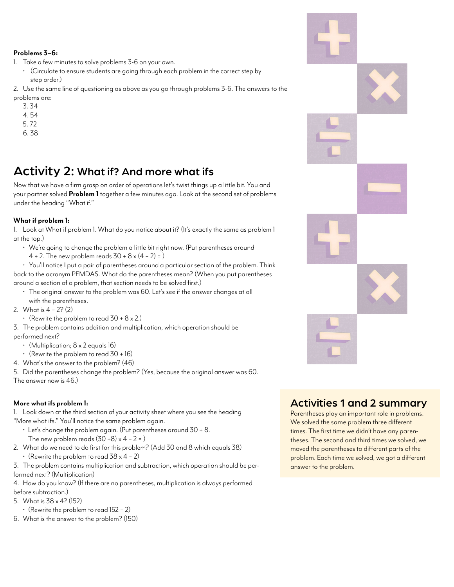#### **Problems 3–6:**

1. Take a few minutes to solve problems 3-6 on your own.

• (Circulate to ensure students are going through each problem in the correct step by step order.)

2. Use the same line of questioning as above as you go through problems 3-6. The answers to the problems are:

- 3. 34
- 4. 54
- 5. 72
- 6. 38

# Activity 2: What if? And more what ifs

Now that we have a firm grasp on order of operations let's twist things up a little bit. You and your partner solved **Problem 1** together a few minutes ago. Look at the second set of problems under the heading "What if."

## **What if problem 1:**

1. Look at What if problem 1. What do you notice about it? (It's exactly the same as problem 1 at the top.)

- We're going to change the problem a little bit right now. (Put parentheses around
- $4 ÷ 2$ . The new problem reads  $30 + 8 \times (4 2) = 1$

• You'll notice I put a pair of parentheses around a particular section of the problem. Think back to the acronym PEMDAS. What do the parentheses mean? (When you put parentheses around a section of a problem, that section needs to be solved first.)

- The original answer to the problem was 60. Let's see if the answer changes at all with the parentheses.
- 2. What is 4 − 2? (2)
	- (Rewrite the problem to read  $30 + 8 \times 2$ .)

3. The problem contains addition and multiplication, which operation should be performed next?

- (Multiplication;  $8 \times 2$  equals 16)
- (Rewrite the problem to read  $30 + 16$ )
- 4. What's the answer to the problem? (46)
- 5. Did the parentheses change the problem? (Yes, because the original answer was 60. The answer now is 46.)

## **More what ifs problem 1:**

1. Look down at the third section of your activity sheet where you see the heading "More what ifs." You'll notice the same problem again.

- Let's change the problem again. (Put parentheses around 30 + 8. The new problem reads  $(30+8) \times 4 - 2 = 1$
- 2. What do we need to do first for this problem? (Add 30 and 8 which equals 38) • (Rewrite the problem to read 38 x 4 − 2)
- 3. The problem contains multiplication and subtraction, which operation should be performed next? (Multiplication)
- 4. How do you know? (If there are no parentheses, multiplication is always performed before subtraction.)
- 5. What is 38 x 4? (152)
	- (Rewrite the problem to read 152 − 2)
- 6. What is the answer to the problem? (150)

## Activities 1 and 2 summary

Parentheses play an important role in problems. We solved the same problem three different times. The first time we didn't have any parentheses. The second and third times we solved, we moved the parentheses to different parts of the problem. Each time we solved, we got a different answer to the problem.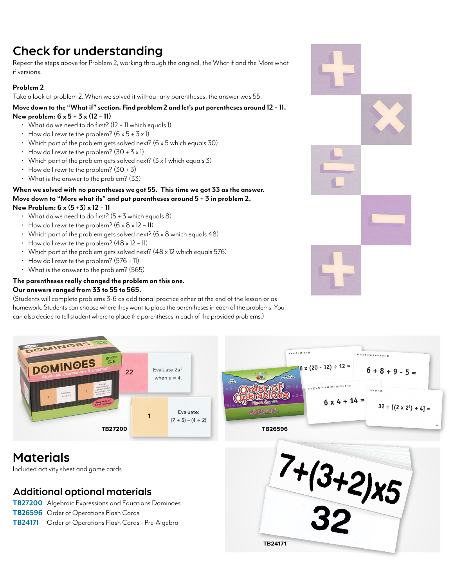# Check for understanding

Repeat the steps above for Problem 2, working through the original, the What if and the More what if versions.

## **Problem 2**

Take a look at problem 2. When we solved it without any parentheses, the answer was 55.

#### **Move down to the "What if" section. Find problem 2 and let's put parentheses around 12 − 11. New problem: 6 x 5 + 3 x (12** − **11)**

- What do we need to do first? (12 − 11 which equals 1)
- How do I rewrite the problem?  $(6 \times 5 + 3 \times 1)$
- Which part of the problem gets solved next? (6 x 5 which equals 30)
- $\cdot$  How do I rewrite the problem?  $(30 + 3 \times 1)$
- Which part of the problem gets solved next?  $(3 \times 1)$  which equals 3)
- $\cdot$  How do I rewrite the problem? (30 + 3)
- What is the answer to the problem? (33)

#### **When we solved with no parentheses we got 55. This time we got 33 as the answer. Move down to "More what ifs" and put parentheses around 5 + 3 in problem 2. New Problem: 6 x (5 +3) x 12 − 11**

- What do we need to do first?  $(5 + 3$  which equals 8)
- How do I rewrite the problem? (6 x 8 x 12 − 11)
- Which part of the problem gets solved next? ( $6 \times 8$  which equals 48)
- How do I rewrite the problem? (48 x 12 − 11)
- Which part of the problem gets solved next?  $(48 \times 12 \text{ which equals } 576)$
- How do I rewrite the problem? (576 − 11)
- What is the answer to the problem? (565)

#### **The parentheses really changed the problem on this one. Our answers ranged from 33 to 55 to 565.**

(Students will complete problems 3-6 as additional practice either at the end of the lesson or as homework. Students can choose where they want to place the parentheses in each of the problems. You can also decide to tell student where to place the parentheses in each of the provided problems.)



# Materials

Included activity sheet and game cards

## Additional optional materials

- **[TB27200](https://www.enasco.com/p/TB27200)** Algebraic Expressions and Equations Dominoes
- **[TB26596](https://www.enasco.com/p/TB26596)** Order of Operations Flash Cards
- **[TB24171](https://www.enasco.com/p/TB24171)** Order of Operations Flash Cards Pre-Algebra



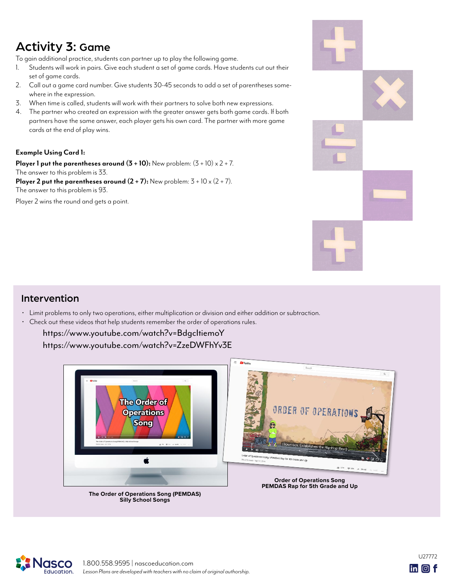# Activity 3: Game

To gain additional practice, students can partner up to play the following game.

- 1. Students will work in pairs. Give each student a set of game cards. Have students cut out their set of game cards.
- 2. Call out a game card number. Give students 30-45 seconds to add a set of parentheses somewhere in the expression.
- 3. When time is called, students will work with their partners to solve both new expressions.
- 4. The partner who created an expression with the greater answer gets both game cards. If both partners have the same answer, each player gets his own card. The partner with more game cards at the end of play wins.

## **Example Using Card 1:**

**Player 1 put the parentheses around**  $(3 + 10)$ **:** New problem:  $(3 + 10) \times 2 + 7$ . The answer to this problem is 33.

**Player 2 put the parentheses around**  $(2 + 7)$ **:** New problem:  $3 + 10 \times (2 + 7)$ . The answer to this problem is 93.

Player 2 wins the round and gets a point.



## Intervention

- Limit problems to only two operations, either multiplication or division and either addition or subtraction.
- Check out these videos that help students remember the order of operations rules.

 <https://www.youtube.com/watch?v=BdgcItiemoY> <https://www.youtube.com/watch?v=ZzeDWFhYv3E>



*Lesson Plans are developed with teachers with no claim of original authorship.* 1.800.558.9595 | [nascoeducation.com](http://nascoeducation.com)

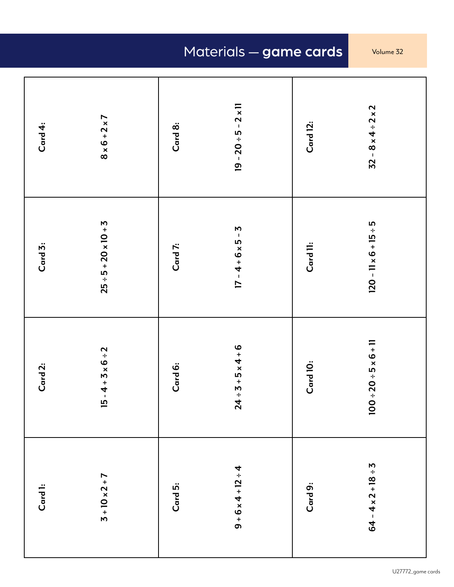# Materials — game cards Volume 32

| Card 4: | $8 \times 6 + 2 \times 7$    | Card 8: | $19 - 20 \div 5 - 2 \times 11$ | Card 12: | $32 - 8 \times 4 \div 2 \times 2$  |
|---------|------------------------------|---------|--------------------------------|----------|------------------------------------|
| Card 3: | $25 ÷ 5 + 20 \times 10 + 3$  | Card 7: | $17 - 4 + 6 \times 5 - 5$      | Card II: | $120 - 11 \times 6 + 15 \div 5$    |
| Card 2: | $15 - 4 + 3 \times 6 \div 2$ | Card 6: | $24 \div 5 + 5 \times 4 + 6$   | Card 10: | $100 \div 20 \div 5 \times 6 + 11$ |
| Card 1: | $3 + 10 \times 2 + 7$        | Card 5: | $9 + 6 \times 4 + 12 + 4$      | Card 9:  | $64 - 4 \times 2 + 18 + 3$         |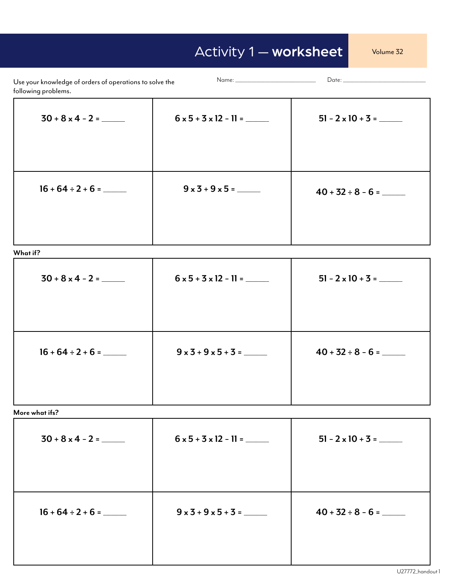# Activity 1 — worksheet Volume 32

| Use your knowledge of orders of operations to solve the<br>following problems. |                                   |                          |  |
|--------------------------------------------------------------------------------|-----------------------------------|--------------------------|--|
|                                                                                | $6 \times 5 + 3 \times 12 - 11 =$ | $51 - 2 \times 10 + 3 =$ |  |
| $16 + 64 \div 2 + 6 =$                                                         | $9 \times 3 + 9 \times 5 =$       | $40 + 32 \div 8 - 6 =$   |  |

**What if?**

|                        | $6 \times 5 + 3 \times 12 - 11 =$ | $51 - 2 \times 10 + 3 =$ |
|------------------------|-----------------------------------|--------------------------|
| $16 + 64 \div 2 + 6 =$ | $9 \times 3 + 9 \times 5 + 3 =$   |                          |

**More what ifs?**

| $6 \times 5 + 3 \times 12 - 11 =$ | $51 - 2 \times 10 + 3 =$ |
|-----------------------------------|--------------------------|
| $9 \times 3 + 9 \times 5 + 3 =$   | $40 + 32 \div 8 - 6 =$   |